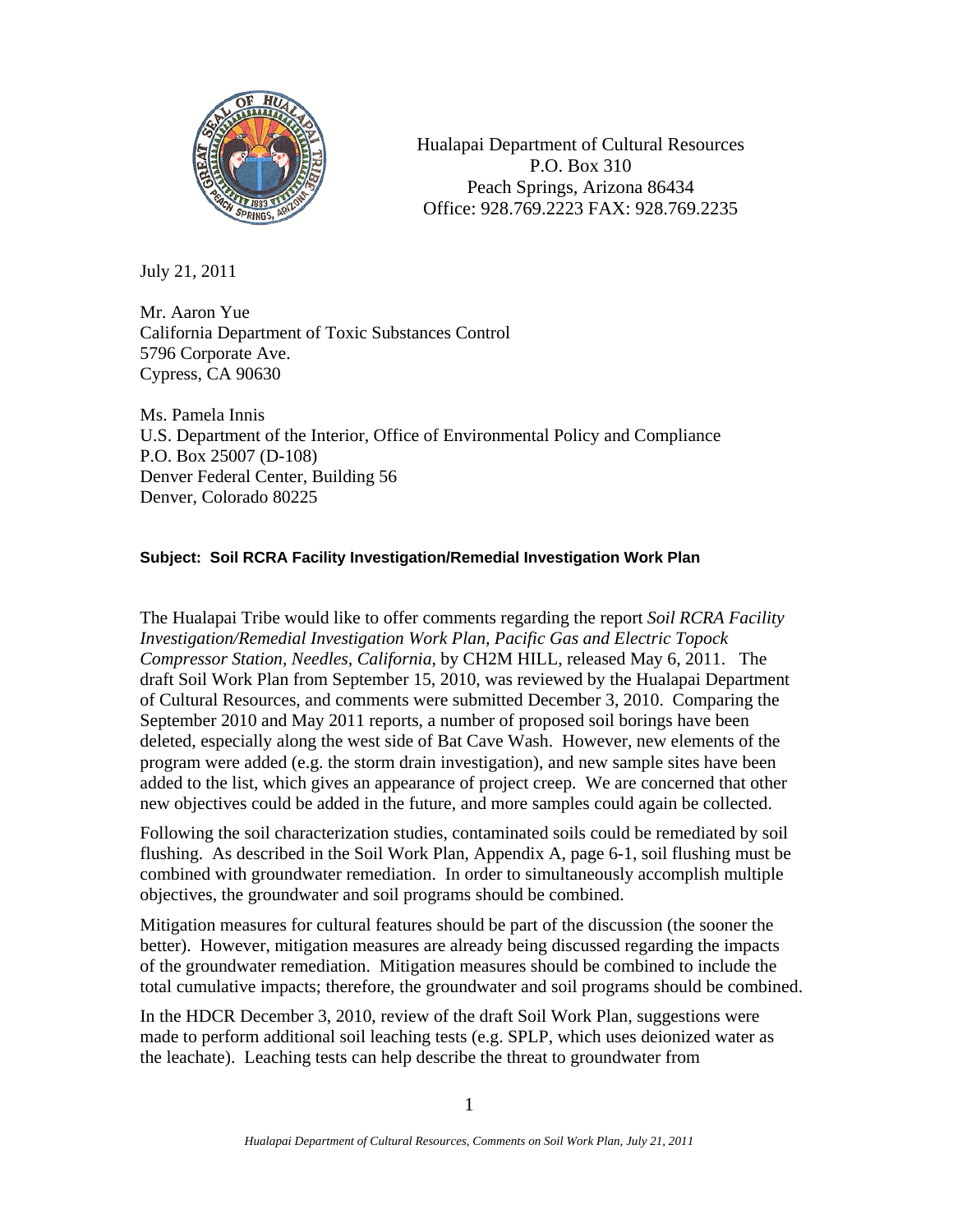

Hualapai Department of Cultural Resources P.O. Box 310 Peach Springs, Arizona 86434 Office: 928.769.2223 FAX: 928.769.2235

July 21, 2011

Mr. Aaron Yue California Department of Toxic Substances Control 5796 Corporate Ave. Cypress, CA 90630

Ms. Pamela Innis U.S. Department of the Interior, Office of Environmental Policy and Compliance P.O. Box 25007 (D-108) Denver Federal Center, Building 56 Denver, Colorado 80225

## **Subject: Soil RCRA Facility Investigation/Remedial Investigation Work Plan**

The Hualapai Tribe would like to offer comments regarding the report *Soil RCRA Facility Investigation/Remedial Investigation Work Plan, Pacific Gas and Electric Topock Compressor Station, Needles, California*, by CH2M HILL, released May 6, 2011. The draft Soil Work Plan from September 15, 2010, was reviewed by the Hualapai Department of Cultural Resources, and comments were submitted December 3, 2010. Comparing the September 2010 and May 2011 reports, a number of proposed soil borings have been deleted, especially along the west side of Bat Cave Wash. However, new elements of the program were added (e.g. the storm drain investigation), and new sample sites have been added to the list, which gives an appearance of project creep. We are concerned that other new objectives could be added in the future, and more samples could again be collected.

Following the soil characterization studies, contaminated soils could be remediated by soil flushing. As described in the Soil Work Plan, Appendix A, page 6-1, soil flushing must be combined with groundwater remediation. In order to simultaneously accomplish multiple objectives, the groundwater and soil programs should be combined.

Mitigation measures for cultural features should be part of the discussion (the sooner the better). However, mitigation measures are already being discussed regarding the impacts of the groundwater remediation. Mitigation measures should be combined to include the total cumulative impacts; therefore, the groundwater and soil programs should be combined.

In the HDCR December 3, 2010, review of the draft Soil Work Plan, suggestions were made to perform additional soil leaching tests (e.g. SPLP, which uses deionized water as the leachate). Leaching tests can help describe the threat to groundwater from